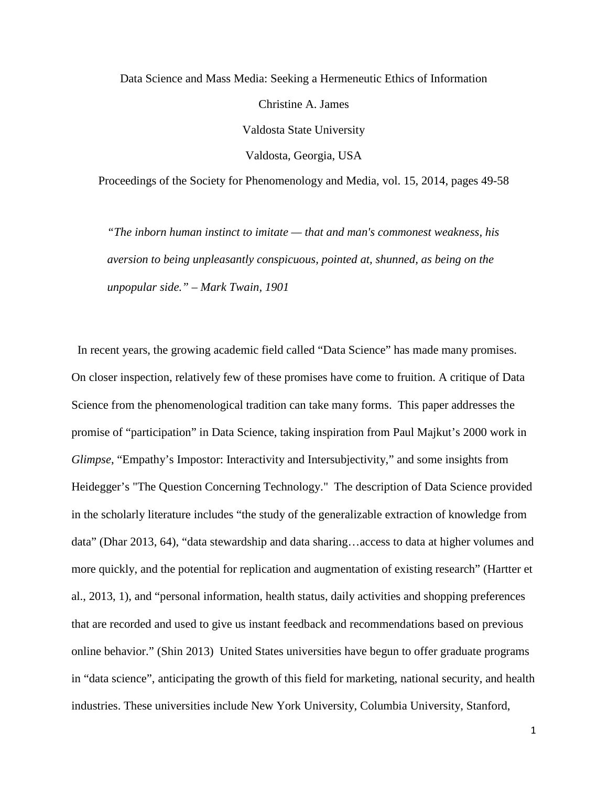Data Science and Mass Media: Seeking a Hermeneutic Ethics of Information Christine A. James Valdosta State University Valdosta, Georgia, USA

Proceedings of the Society for Phenomenology and Media, vol. 15, 2014, pages 49-58

*"The inborn human instinct to imitate — that and man's commonest weakness, his aversion to being unpleasantly conspicuous, pointed at, shunned, as being on the unpopular side." – Mark Twain, 1901*

 In recent years, the growing academic field called "Data Science" has made many promises. On closer inspection, relatively few of these promises have come to fruition. A critique of Data Science from the phenomenological tradition can take many forms. This paper addresses the promise of "participation" in Data Science, taking inspiration from Paul Majkut's 2000 work in *Glimpse*, "Empathy's Impostor: Interactivity and Intersubjectivity," and some insights from Heidegger's "The Question Concerning Technology." The description of Data Science provided in the scholarly literature includes "the study of the generalizable extraction of knowledge from data" (Dhar 2013, 64), "data stewardship and data sharing…access to data at higher volumes and more quickly, and the potential for replication and augmentation of existing research" (Hartter et al., 2013, 1), and "personal information, health status, daily activities and shopping preferences that are recorded and used to give us instant feedback and recommendations based on previous online behavior." (Shin 2013) United States universities have begun to offer graduate programs in "data science", anticipating the growth of this field for marketing, national security, and health industries. These universities include New York University, Columbia University, Stanford,

1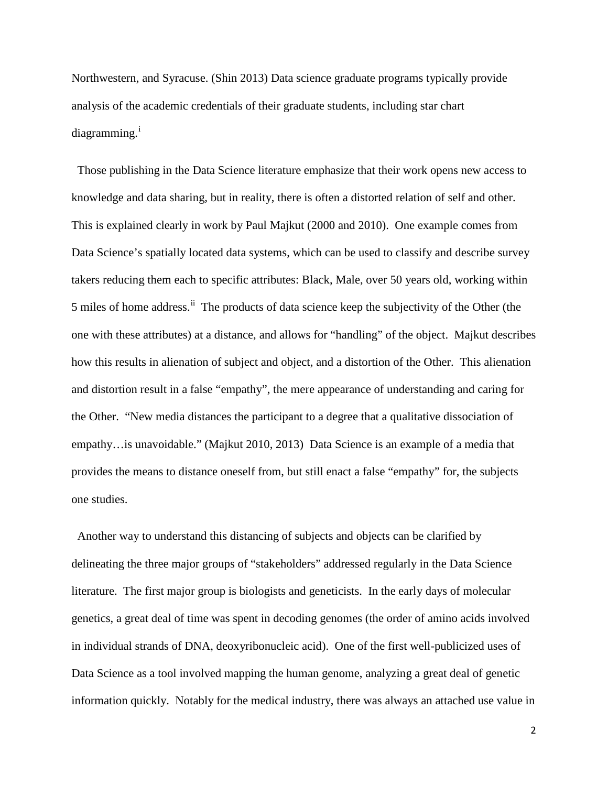Northwestern, and Syracuse. (Shin 2013) Data science graduate programs typically provide analysis of the academic credentials of their graduate students, including star chart d[i](#page-9-0)agramming.<sup>i</sup>

 Those publishing in the Data Science literature emphasize that their work opens new access to knowledge and data sharing, but in reality, there is often a distorted relation of self and other. This is explained clearly in work by Paul Majkut (2000 and 2010). One example comes from Data Science's spatially located data systems, which can be used to classify and describe survey takers reducing them each to specific attributes: Black, Male, over 50 years old, working within 5 miles of home address.<sup>[ii](#page-9-1)</sup> The products of data science keep the subjectivity of the Other (the one with these attributes) at a distance, and allows for "handling" of the object. Majkut describes how this results in alienation of subject and object, and a distortion of the Other. This alienation and distortion result in a false "empathy", the mere appearance of understanding and caring for the Other. "New media distances the participant to a degree that a qualitative dissociation of empathy…is unavoidable." (Majkut 2010, 2013) Data Science is an example of a media that provides the means to distance oneself from, but still enact a false "empathy" for, the subjects one studies.

 Another way to understand this distancing of subjects and objects can be clarified by delineating the three major groups of "stakeholders" addressed regularly in the Data Science literature. The first major group is biologists and geneticists. In the early days of molecular genetics, a great deal of time was spent in decoding genomes (the order of amino acids involved in individual strands of DNA, deoxyribonucleic acid). One of the first well-publicized uses of Data Science as a tool involved mapping the human genome, analyzing a great deal of genetic information quickly. Notably for the medical industry, there was always an attached use value in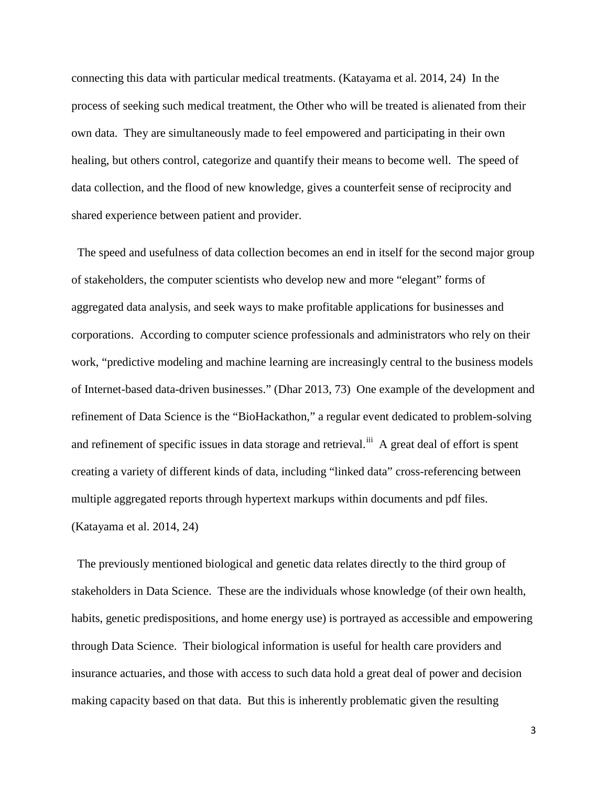connecting this data with particular medical treatments. (Katayama et al. 2014, 24) In the process of seeking such medical treatment, the Other who will be treated is alienated from their own data. They are simultaneously made to feel empowered and participating in their own healing, but others control, categorize and quantify their means to become well. The speed of data collection, and the flood of new knowledge, gives a counterfeit sense of reciprocity and shared experience between patient and provider.

 The speed and usefulness of data collection becomes an end in itself for the second major group of stakeholders, the computer scientists who develop new and more "elegant" forms of aggregated data analysis, and seek ways to make profitable applications for businesses and corporations. According to computer science professionals and administrators who rely on their work, "predictive modeling and machine learning are increasingly central to the business models of Internet-based data-driven businesses." (Dhar 2013, 73) One example of the development and refinement of Data Science is the "BioHackathon," a regular event dedicated to problem-solving and refinement of specific issues in data storage and retrieval.<sup>[iii](#page-9-2)</sup> A great deal of effort is spent creating a variety of different kinds of data, including "linked data" cross-referencing between multiple aggregated reports through hypertext markups within documents and pdf files. (Katayama et al. 2014, 24)

 The previously mentioned biological and genetic data relates directly to the third group of stakeholders in Data Science. These are the individuals whose knowledge (of their own health, habits, genetic predispositions, and home energy use) is portrayed as accessible and empowering through Data Science. Their biological information is useful for health care providers and insurance actuaries, and those with access to such data hold a great deal of power and decision making capacity based on that data. But this is inherently problematic given the resulting

3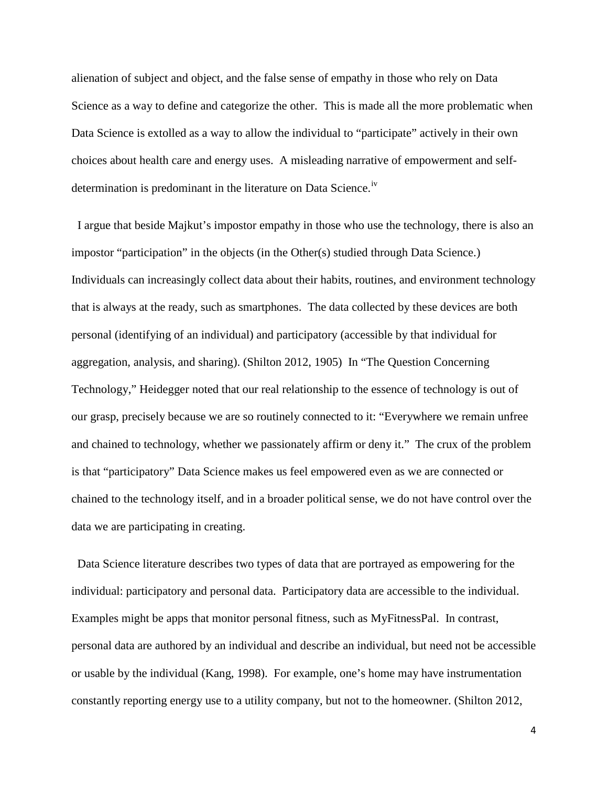alienation of subject and object, and the false sense of empathy in those who rely on Data Science as a way to define and categorize the other. This is made all the more problematic when Data Science is extolled as a way to allow the individual to "participate" actively in their own choices about health care and energy uses. A misleading narrative of empowerment and selfdetermination is predominant in the literature on Data Science.<sup>[iv](#page-9-3)</sup>

 I argue that beside Majkut's impostor empathy in those who use the technology, there is also an impostor "participation" in the objects (in the Other(s) studied through Data Science.) Individuals can increasingly collect data about their habits, routines, and environment technology that is always at the ready, such as smartphones. The data collected by these devices are both personal (identifying of an individual) and participatory (accessible by that individual for aggregation, analysis, and sharing). (Shilton 2012, 1905) In "The Question Concerning Technology," Heidegger noted that our real relationship to the essence of technology is out of our grasp, precisely because we are so routinely connected to it: "Everywhere we remain unfree and chained to technology, whether we passionately affirm or deny it." The crux of the problem is that "participatory" Data Science makes us feel empowered even as we are connected or chained to the technology itself, and in a broader political sense, we do not have control over the data we are participating in creating.

 Data Science literature describes two types of data that are portrayed as empowering for the individual: participatory and personal data. Participatory data are accessible to the individual. Examples might be apps that monitor personal fitness, such as MyFitnessPal. In contrast, personal data are authored by an individual and describe an individual, but need not be accessible or usable by the individual (Kang, 1998). For example, one's home may have instrumentation constantly reporting energy use to a utility company, but not to the homeowner. (Shilton 2012,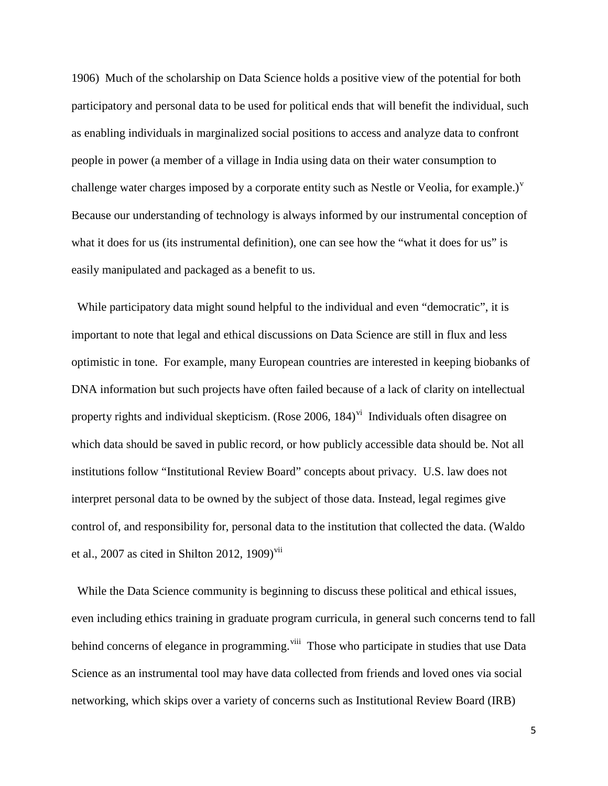1906) Much of the scholarship on Data Science holds a positive view of the potential for both participatory and personal data to be used for political ends that will benefit the individual, such as enabling individuals in marginalized social positions to access and analyze data to confront people in power (a member of a village in India using data on their water consumption to challenge water charges imposed by a corporate entity such as Nestle or Veolia, for example.) $^{\text{v}}$  $^{\text{v}}$  $^{\text{v}}$ Because our understanding of technology is always informed by our instrumental conception of what it does for us (its instrumental definition), one can see how the "what it does for us" is easily manipulated and packaged as a benefit to us.

 While participatory data might sound helpful to the individual and even "democratic", it is important to note that legal and ethical discussions on Data Science are still in flux and less optimistic in tone. For example, many European countries are interested in keeping biobanks of DNA information but such projects have often failed because of a lack of clarity on intellectual property rights and indi[vi](#page-9-5)dual skepticism. (Rose 2006, 184)<sup>vi</sup> Individuals often disagree on which data should be saved in public record, or how publicly accessible data should be. Not all institutions follow "Institutional Review Board" concepts about privacy. U.S. law does not interpret personal data to be owned by the subject of those data. Instead, legal regimes give control of, and responsibility for, personal data to the institution that collected the data. (Waldo et al., 2007 as cited in Shilton 2012, 1909)<sup>[vii](#page-9-6)</sup>

 While the Data Science community is beginning to discuss these political and ethical issues, even including ethics training in graduate program curricula, in general such concerns tend to fall behind concerns of elegance in programming.<sup>[viii](#page-9-7)</sup> Those who participate in studies that use Data Science as an instrumental tool may have data collected from friends and loved ones via social networking, which skips over a variety of concerns such as Institutional Review Board (IRB)

5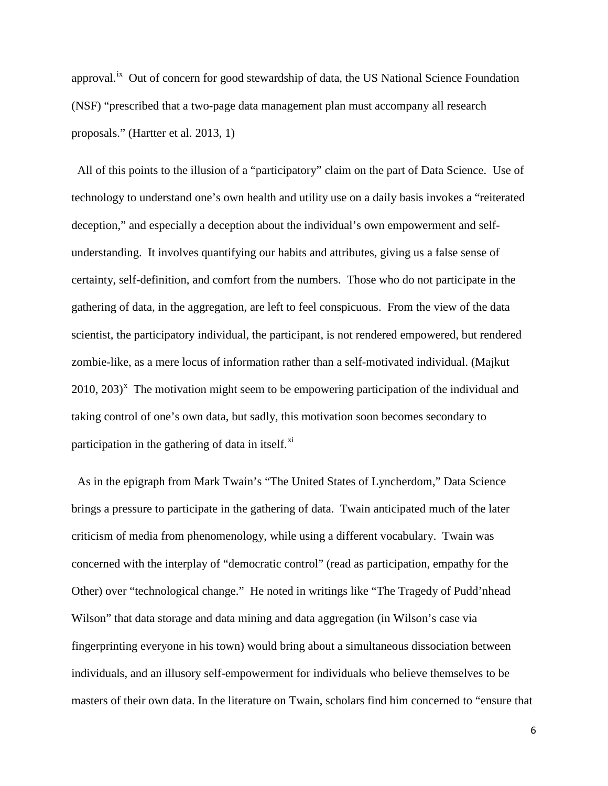approval.<sup>[ix](#page-9-8)</sup> Out of concern for good stewardship of data, the US National Science Foundation (NSF) "prescribed that a two-page data management plan must accompany all research proposals." (Hartter et al. 2013, 1)

 All of this points to the illusion of a "participatory" claim on the part of Data Science. Use of technology to understand one's own health and utility use on a daily basis invokes a "reiterated deception," and especially a deception about the individual's own empowerment and selfunderstanding. It involves quantifying our habits and attributes, giving us a false sense of certainty, self-definition, and comfort from the numbers. Those who do not participate in the gathering of data, in the aggregation, are left to feel conspicuous. From the view of the data scientist, the participatory individual, the participant, is not rendered empowered, but rendered zombie-like, as a mere locus of information rather than a self-motivated individual. (Majkut  $2010$ ,  $203$ <sup>[x](#page-9-9)</sup> The motivation might seem to be empowering participation of the individual and taking control of one's own data, but sadly, this motivation soon becomes secondary to participation in the gathering of data in itself. $^{xi}$  $^{xi}$  $^{xi}$ 

 As in the epigraph from Mark Twain's "The United States of Lyncherdom," Data Science brings a pressure to participate in the gathering of data. Twain anticipated much of the later criticism of media from phenomenology, while using a different vocabulary. Twain was concerned with the interplay of "democratic control" (read as participation, empathy for the Other) over "technological change." He noted in writings like "The Tragedy of Pudd'nhead Wilson" that data storage and data mining and data aggregation (in Wilson's case via fingerprinting everyone in his town) would bring about a simultaneous dissociation between individuals, and an illusory self-empowerment for individuals who believe themselves to be masters of their own data. In the literature on Twain, scholars find him concerned to "ensure that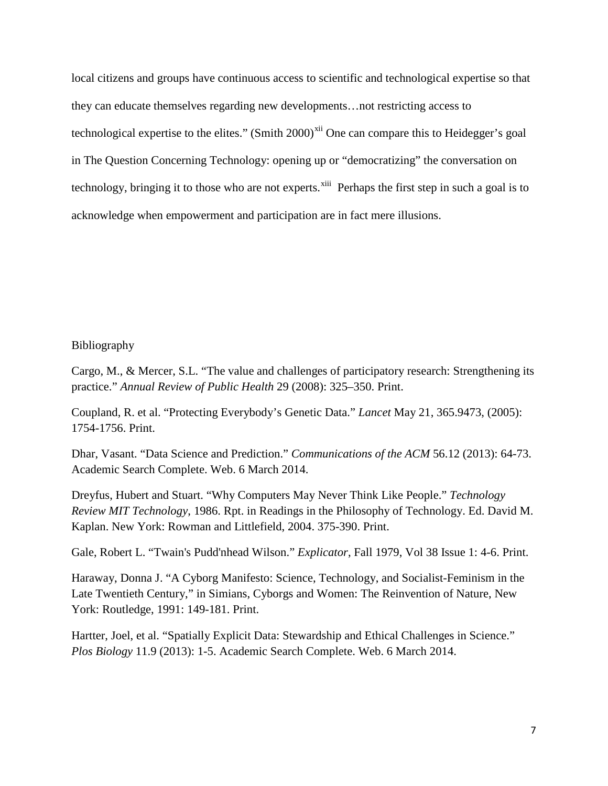local citizens and groups have continuous access to scientific and technological expertise so that they can educate themselves regarding new developments…not restricting access to technological expertise to the elites." (Smith  $2000$ <sup>[xii](#page-9-11)</sup> One can compare this to Heidegger's goal in The Question Concerning Technology: opening up or "democratizing" the conversation on technology, bringing it to those who are not experts.<sup>[xiii](#page-9-12)</sup> Perhaps the first step in such a goal is to acknowledge when empowerment and participation are in fact mere illusions.

## Bibliography

Cargo, M., & Mercer, S.L. "The value and challenges of participatory research: Strengthening its practice." *Annual Review of Public Health* 29 (2008): 325–350. Print.

Coupland, R. et al. "Protecting Everybody's Genetic Data." *Lancet* May 21, 365.9473, (2005): 1754-1756. Print.

Dhar, Vasant. "Data Science and Prediction." *Communications of the ACM* 56.12 (2013): 64-73. Academic Search Complete. Web. 6 March 2014.

Dreyfus, Hubert and Stuart. "Why Computers May Never Think Like People." *Technology Review MIT Technology*, 1986. Rpt. in Readings in the Philosophy of Technology. Ed. David M. Kaplan. New York: Rowman and Littlefield, 2004. 375-390. Print.

Gale, Robert L. "Twain's Pudd'nhead Wilson." *Explicator*, Fall 1979, Vol 38 Issue 1: 4-6. Print.

Haraway, Donna J. "A Cyborg Manifesto: Science, Technology, and Socialist-Feminism in the Late Twentieth Century," in Simians, Cyborgs and Women: The Reinvention of Nature, New York: Routledge, 1991: 149-181. Print.

Hartter, Joel, et al. "Spatially Explicit Data: Stewardship and Ethical Challenges in Science." *Plos Biology* 11.9 (2013): 1-5. Academic Search Complete. Web. 6 March 2014.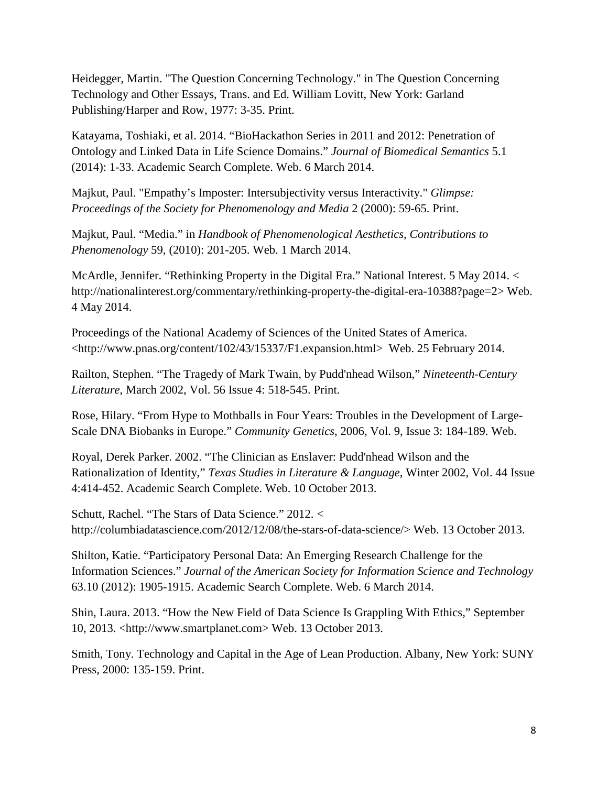Heidegger, Martin. "The Question Concerning Technology." in The Question Concerning Technology and Other Essays, Trans. and Ed. William Lovitt, New York: Garland Publishing/Harper and Row, 1977: 3-35. Print.

Katayama, Toshiaki, et al. 2014. "BioHackathon Series in 2011 and 2012: Penetration of Ontology and Linked Data in Life Science Domains." *Journal of Biomedical Semantics* 5.1 (2014): 1-33. Academic Search Complete. Web. 6 March 2014.

Majkut, Paul. "Empathy's Imposter: Intersubjectivity versus Interactivity." *Glimpse: Proceedings of the Society for Phenomenology and Media* 2 (2000): 59-65. Print.

Majkut, Paul. "Media." in *Handbook of Phenomenological Aesthetics, Contributions to Phenomenology* 59, (2010): 201-205. Web. 1 March 2014.

McArdle, Jennifer. "Rethinking Property in the Digital Era." National Interest. 5 May 2014. < http://nationalinterest.org/commentary/rethinking-property-the-digital-era-10388?page=2> Web. 4 May 2014.

Proceedings of the National Academy of Sciences of the United States of America. <http://www.pnas.org/content/102/43/15337/F1.expansion.html> Web. 25 February 2014.

Railton, Stephen. "The Tragedy of Mark Twain, by Pudd'nhead Wilson," *Nineteenth-Century Literature*, March 2002, Vol. 56 Issue 4: 518-545. Print.

Rose, Hilary. "From Hype to Mothballs in Four Years: Troubles in the Development of Large-Scale DNA Biobanks in Europe." *Community Genetics*, 2006, Vol. 9, Issue 3: 184-189. Web.

Royal, Derek Parker. 2002. "The Clinician as Enslaver: Pudd'nhead Wilson and the Rationalization of Identity," *Texas Studies in Literature & Language*, Winter 2002, Vol. 44 Issue 4:414-452. Academic Search Complete. Web. 10 October 2013.

Schutt, Rachel. "The Stars of Data Science." 2012. < http://columbiadatascience.com/2012/12/08/the-stars-of-data-science/> Web. 13 October 2013.

Shilton, Katie. "Participatory Personal Data: An Emerging Research Challenge for the Information Sciences." *Journal of the American Society for Information Science and Technology* 63.10 (2012): 1905-1915. Academic Search Complete. Web. 6 March 2014.

Shin, Laura. 2013. "How the New Field of Data Science Is Grappling With Ethics," September 10, 2013. <http://www.smartplanet.com> Web. 13 October 2013.

Smith, Tony. Technology and Capital in the Age of Lean Production. Albany, New York: SUNY Press, 2000: 135-159. Print.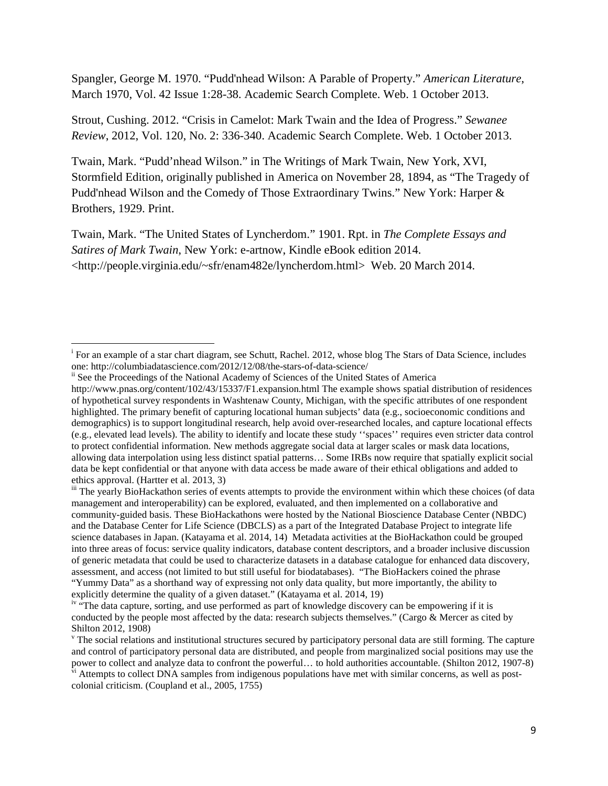Spangler, George M. 1970. "Pudd'nhead Wilson: A Parable of Property." *American Literature*, March 1970, Vol. 42 Issue 1:28-38. Academic Search Complete. Web. 1 October 2013.

Strout, Cushing. 2012. "Crisis in Camelot: Mark Twain and the Idea of Progress." *Sewanee Review*, 2012, Vol. 120, No. 2: 336-340. Academic Search Complete. Web. 1 October 2013.

Twain, Mark. "Pudd'nhead Wilson." in The Writings of Mark Twain, New York, XVI, Stormfield Edition, originally published in America on November 28, 1894, as "The Tragedy of Pudd'nhead Wilson and the Comedy of Those Extraordinary Twins." New York: Harper & Brothers, 1929. Print.

Twain, Mark. "The United States of Lyncherdom." 1901. Rpt. in *The Complete Essays and Satires of Mark Twain*, New York: e-artnow, Kindle eBook edition 2014. <http://people.virginia.edu/~sfr/enam482e/lyncherdom.html> Web. 20 March 2014.

i <sup>i</sup> For an example of a star chart diagram, see Schutt, Rachel. 2012, whose blog The Stars of Data Science, includes one: http://columbiadatascience.com/2012/12/08/the-stars-of-data-science/

<sup>&</sup>lt;sup>ii</sup> See the Proceedings of the National Academy of Sciences of the United States of America

http://www.pnas.org/content/102/43/15337/F1.expansion.html The example shows spatial distribution of residences of hypothetical survey respondents in Washtenaw County, Michigan, with the specific attributes of one respondent highlighted. The primary benefit of capturing locational human subjects' data (e.g., socioeconomic conditions and demographics) is to support longitudinal research, help avoid over-researched locales, and capture locational effects (e.g., elevated lead levels). The ability to identify and locate these study ''spaces'' requires even stricter data control to protect confidential information. New methods aggregate social data at larger scales or mask data locations, allowing data interpolation using less distinct spatial patterns… Some IRBs now require that spatially explicit social data be kept confidential or that anyone with data access be made aware of their ethical obligations and added to ethics approval. (Hartter et al. 2013, 3)

iii The yearly BioHackathon series of events attempts to provide the environment within which these choices (of data management and interoperability) can be explored, evaluated, and then implemented on a collaborative and community-guided basis. These BioHackathons were hosted by the National Bioscience Database Center (NBDC) and the Database Center for Life Science (DBCLS) as a part of the Integrated Database Project to integrate life science databases in Japan. (Katayama et al. 2014, 14) Metadata activities at the BioHackathon could be grouped into three areas of focus: service quality indicators, database content descriptors, and a broader inclusive discussion of generic metadata that could be used to characterize datasets in a database catalogue for enhanced data discovery, assessment, and access (not limited to but still useful for biodatabases). "The BioHackers coined the phrase "Yummy Data" as a shorthand way of expressing not only data quality, but more importantly, the ability to explicitly determine the quality of a given dataset." (Katayama et al. 2014, 19)

<sup>&</sup>lt;sup>iv</sup> "The data capture, sorting, and use performed as part of knowledge discovery can be empowering if it is conducted by the people most affected by the data: research subjects themselves." (Cargo & Mercer as cited by Shilton 2012, 1908)

 $\gamma$ <sup>v</sup> The social relations and institutional structures secured by participatory personal data are still forming. The capture and control of participatory personal data are distributed, and people from marginalized social positions may use the power to collect and analyze data to confront the powerful… to hold authorities accountable. (Shilton 2012, 1907-8)  $\hat{v}$ <sup>i</sup> Attempts to collect DNA samples from indigenous populations have met with similar concerns, as well as post-

colonial criticism. (Coupland et al., 2005, 1755)